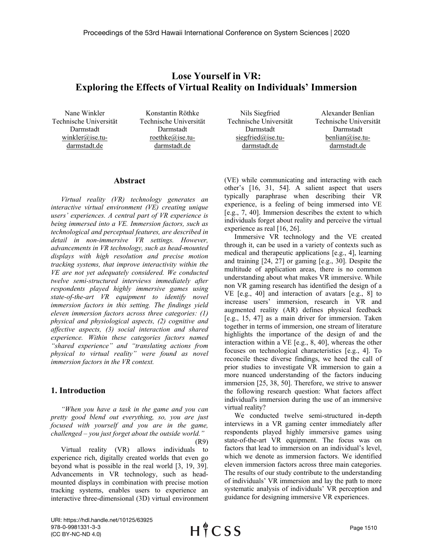# **Lose Yourself in VR: Exploring the Effects of Virtual Reality on Individuals' Immersion**

Nane Winkler Technische Universität Darmstadt winkler@ise.tudarmstadt.de

Konstantin Röthke Technische Universität Darmstadt roethke@ise.tudarmstadt.de

Nils Siegfried Technische Universität Darmstadt siegfried@ise.tudarmstadt.de

Alexander Benlian Technische Universität Darmstadt benlian@ise.tudarmstadt.de

#### **Abstract**

*Virtual reality (VR) technology generates an interactive virtual environment (VE) creating unique users' experiences. A central part of VR experience is being immersed into a VE. Immersion factors, such as technological and perceptual features, are described in detail in non-immersive VR settings. However, advancements in VR technology, such as head-mounted displays with high resolution and precise motion tracking systems, that improve interactivity within the VE are not yet adequately considered. We conducted twelve semi-structured interviews immediately after respondents played highly immersive games using state-of-the-art VR equipment to identify novel immersion factors in this setting. The findings yield eleven immersion factors across three categories: (1) physical and physiological aspects, (2) cognitive and affective aspects, (3) social interaction and shared experience. Within these categories factors named "shared experience" and "translating actions from physical to virtual reality" were found as novel immersion factors in the VR context.*

#### **1. Introduction**

*"When you have a task in the game and you can pretty good blend out everything, so, you are just focused with yourself and you are in the game, challenged – you just forget about the outside world."*

Virtual reality (VR) allows individuals to experience rich, digitally created worlds that even go beyond what is possible in the real world [3, 19, 39]. Advancements in VR technology, such as headmounted displays in combination with precise motion tracking systems, enables users to experience an interactive three-dimensional (3D) virtual environment (VE) while communicating and interacting with each other's [16, 31, 54]. A salient aspect that users typically paraphrase when describing their VR experience, is a feeling of being immersed into VE [e.g., 7, 40]. Immersion describes the extent to which individuals forget about reality and perceive the virtual experience as real [16, 26].

Immersive VR technology and the VE created through it, can be used in a variety of contexts such as medical and therapeutic applications [e.g., 4], learning and training [24, 27] or gaming [e.g., 30]. Despite the multitude of application areas, there is no common understanding about what makes VR immersive. While non VR gaming research has identified the design of a VE [e.g., 40] and interaction of avatars [e.g., 8] to increase users' immersion, research in VR and augmented reality (AR) defines physical feedback [e.g., 15, 47] as a main driver for immersion. Taken together in terms of immersion, one stream of literature highlights the importance of the design of and the interaction within a VE [e.g., 8, 40], whereas the other focuses on technological characteristics [e.g., 4]. To reconcile these diverse findings, we heed the call of prior studies to investigate VR immersion to gain a more nuanced understanding of the factors inducing immersion [25, 38, 50]. Therefore, we strive to answer the following research question: What factors affect individual's immersion during the use of an immersive virtual reality?

We conducted twelve semi-structured in-depth interviews in a VR gaming center immediately after respondents played highly immersive games using state-of-the-art VR equipment. The focus was on factors that lead to immersion on an individual's level, which we denote as immersion factors. We identified eleven immersion factors across three main categories. The results of our study contribute to the understanding of individuals' VR immersion and lay the path to more systematic analysis of individuals' VR perception and guidance for designing immersive VR experiences.

URI: https://hdl.handle.net/10125/63925 978-0-9981331-3-3 (CC BY-NC-ND 4.0)

<sup>(</sup>R9)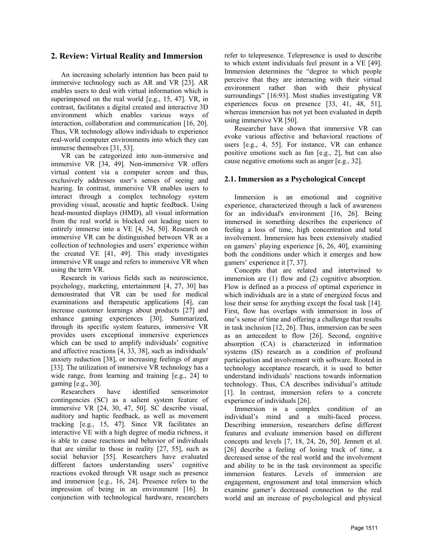### **2. Review: Virtual Reality and Immersion**

An increasing scholarly intention has been paid to immersive technology such as AR and VR [23]. AR enables users to deal with virtual information which is superimposed on the real world [e.g., 15, 47]. VR, in contrast, facilitates a digital created and interactive 3D environment which enables various ways of interaction, collaboration and communication [16, 20]. Thus, VR technology allows individuals to experience real-world computer environments into which they can immerse themselves [31, 53].

VR can be categorized into non-immersive and immersive VR [34, 49]. Non-immersive VR offers virtual content via a computer screen and thus, exclusively addresses user's senses of seeing and hearing. In contrast, immersive VR enables users to interact through a complex technology system providing visual, acoustic and haptic feedback. Using head-mounted displays (HMD), all visual information from the real world is blocked out leading users to entirely immerse into a VE [4, 34, 50]. Research on immersive VR can be distinguished between VR as a collection of technologies and users' experience within the created VE [41, 49]. This study investigates immersive VR usage and refers to immersive VR when using the term VR.

Research in various fields such as neuroscience, psychology, marketing, entertainment [4, 27, 30] has demonstrated that VR can be used for medical examinations and therapeutic applications [4], can increase customer learnings about products [27] and enhance gaming experiences [30]. Summarized, through its specific system features, immersive VR provides users exceptional immersive experiences which can be used to amplify individuals' cognitive and affective reactions [4, 33, 38], such as individuals' anxiety reduction [38], or increasing feelings of anger [33]. The utilization of immersive VR technology has a wide range, from learning and training [e.g., 24] to gaming [e.g., 30].

Researchers have identified sensorimotor contingencies (SC) as a salient system feature of immersive VR [24, 30, 47, 50]. SC describe visual, auditory and haptic feedback, as well as movement tracking [e.g., 15, 47]. Since VR facilitates an interactive VE with a high degree of media richness, it is able to cause reactions and behavior of individuals that are similar to those in reality [27, 55], such as social behavior [55]. Researchers have evaluated different factors understanding users' cognitive reactions evoked through VR usage such as presence and immersion [e.g., 16, 24]. Presence refers to the impression of being in an environment [16]. In conjunction with technological hardware, researchers

refer to telepresence. Telepresence is used to describe to which extent individuals feel present in a VE [49]. Immersion determines the "degree to which people perceive that they are interacting with their virtual environment rather than with their physical surroundings" [16:93]. Most studies investigating VR experiences focus on presence [33, 41, 48, 51], whereas immersion has not yet been evaluated in depth using immersive VR [50].

Researcher have shown that immersive VR can evoke various affective and behavioral reactions of users [e.g., 4, 55]. For instance, VR can enhance positive emotions such as fun [e.g., 2], but can also cause negative emotions such as anger [e.g., 32].

#### **2.1. Immersion as a Psychological Concept**

Immersion is an emotional and cognitive experience, characterized through a lack of awareness for an individual's environment [16, 26]. Being immersed in something describes the experience of feeling a loss of time, high concentration and total involvement. Immersion has been extensively studied on gamers' playing experience [6, 26, 40], examining both the conditions under which it emerges and how gamers' experience it [7, 37].

Concepts that are related and intertwined to immersion are (1) flow and (2) cognitive absorption. Flow is defined as a process of optimal experience in which individuals are in a state of energized focus and lose their sense for anything except the focal task [14]. First, flow has overlaps with immersion in loss of one's sense of time and offering a challenge that results in task inclusion [12, 26]. Thus, immersion can be seen as an antecedent to flow [26]. Second, cognitive absorption (CA) is characterized in information systems (IS) research as a condition of profound participation and involvement with software. Rooted in technology acceptance research, it is used to better understand individuals' reactions towards information technology. Thus, CA describes individual's attitude [1]. In contrast, immersion refers to a concrete experience of individuals [26].

Immersion is a complex condition of an individual's mind and a multi-faced process. Describing immersion, researchers define different features and evaluate immersion based on different concepts and levels [7, 18, 24, 26, 50]. Jennett et al. [26] describe a feeling of losing track of time, a decreased sense of the real world and the involvement and ability to be in the task environment as specific immersion features. Levels of immersion are engagement, engrossment and total immersion which examine gamer's decreased connection to the real world and an increase of psychological and physical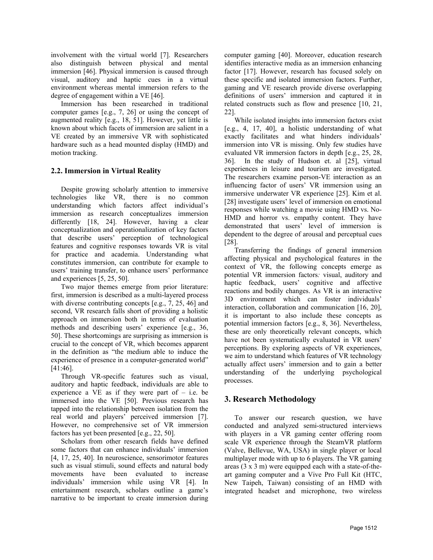involvement with the virtual world [7]. Researchers also distinguish between physical and mental immersion [46]. Physical immersion is caused through visual, auditory and haptic cues in a virtual environment whereas mental immersion refers to the degree of engagement within a VE [46].

Immersion has been researched in traditional computer games [e.g., 7, 26] or using the concept of augmented reality [e.g., 18, 51]. However, yet little is known about which facets of immersion are salient in a VE created by an immersive VR with sophisticated hardware such as a head mounted display (HMD) and motion tracking.

### **2.2. Immersion in Virtual Reality**

Despite growing scholarly attention to immersive technologies like VR, there is no common understanding which factors affect individual's immersion as research conceptualizes immersion differently [18, 24]. However, having a clear conceptualization and operationalization of key factors that describe users' perception of technological features and cognitive responses towards VR is vital for practice and academia. Understanding what constitutes immersion, can contribute for example to users' training transfer, to enhance users' performance and experiences [5, 25, 50].

Two major themes emerge from prior literature: first, immersion is described as a multi-layered process with diverse contributing concepts [e.g., 7, 25, 46] and second, VR research falls short of providing a holistic approach on immersion both in terms of evaluation methods and describing users' experience [e.g., 36, 50]. These shortcomings are surprising as immersion is crucial to the concept of VR, which becomes apparent in the definition as "the medium able to induce the experience of presence in a computer-generated world" [41:46].

Through VR-specific features such as visual, auditory and haptic feedback, individuals are able to experience a VE as if they were part of  $-$  i.e. be immersed into the VE [50]. Previous research has tapped into the relationship between isolation from the real world and players' perceived immersion [7]. However, no comprehensive set of VR immersion factors has yet been presented [e.g., 22, 50].

Scholars from other research fields have defined some factors that can enhance individuals' immersion [4, 17, 25, 40]. In neuroscience, sensorimotor features such as visual stimuli, sound effects and natural body movements have been evaluated to increase individuals' immersion while using VR [4]. In entertainment research, scholars outline a game's narrative to be important to create immersion during

computer gaming [40]. Moreover, education research identifies interactive media as an immersion enhancing factor [17]. However, research has focused solely on these specific and isolated immersion factors. Further, gaming and VE research provide diverse overlapping definitions of users' immersion and captured it in related constructs such as flow and presence [10, 21, 22].

While isolated insights into immersion factors exist [e.g., 4, 17, 40], a holistic understanding of what exactly facilitates and what hinders individuals' immersion into VR is missing. Only few studies have evaluated VR immersion factors in depth [e.g., 25, 28, 36]. In the study of Hudson et. al [25], virtual experiences in leisure and tourism are investigated. The researchers examine person-VE interaction as an influencing factor of users' VR immersion using an immersive underwater VR experience [25]. Kim et al. [28] investigate users' level of immersion on emotional responses while watching a movie using HMD vs. No-HMD and horror vs. empathy content. They have demonstrated that users' level of immersion is dependent to the degree of arousal and perceptual cues [28].

Transferring the findings of general immersion affecting physical and psychological features in the context of VR, the following concepts emerge as potential VR immersion factors*:* visual, auditory and haptic feedback, users' cognitive and affective reactions and bodily changes. As VR is an interactive 3D environment which can foster individuals' interaction, collaboration and communication [16, 20], it is important to also include these concepts as potential immersion factors [e.g., 8, 36]. Nevertheless, these are only theoretically relevant concepts, which have not been systematically evaluated in VR users' perceptions. By exploring aspects of VR experiences, we aim to understand which features of VR technology actually affect users' immersion and to gain a better understanding of the underlying psychological processes.

# **3. Research Methodology**

To answer our research question, we have conducted and analyzed semi-structured interviews with players in a VR gaming center offering room scale VR experience through the SteamVR platform (Valve, Bellevue, WA, USA) in single player or local multiplayer mode with up to 6 players. The VR gaming areas (3 x 3 m) were equipped each with a state-of-theart gaming computer and a Vive Pro Full Kit (HTC, New Taipeh, Taiwan) consisting of an HMD with integrated headset and microphone, two wireless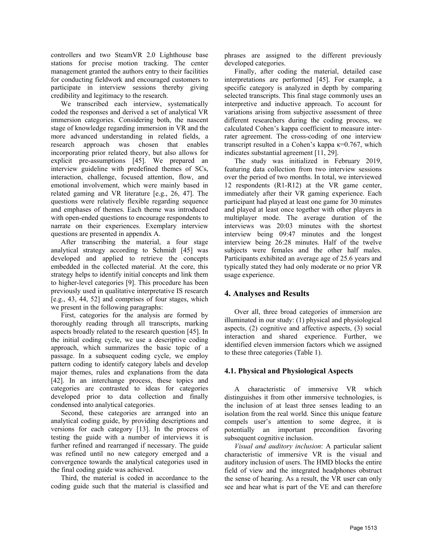controllers and two SteamVR 2.0 Lighthouse base stations for precise motion tracking. The center management granted the authors entry to their facilities for conducting fieldwork and encouraged customers to participate in interview sessions thereby giving credibility and legitimacy to the research.

We transcribed each interview, systematically coded the responses and derived a set of analytical VR immersion categories. Considering both, the nascent stage of knowledge regarding immersion in VR and the more advanced understanding in related fields, a research approach was chosen that enables incorporating prior related theory, but also allows for explicit pre-assumptions [45]. We prepared an interview guideline with predefined themes of SCs, interaction, challenge, focused attention, flow, and emotional involvement, which were mainly based in related gaming and VR literature [e.g., 26, 47]. The questions were relatively flexible regarding sequence and emphases of themes. Each theme was introduced with open-ended questions to encourage respondents to narrate on their experiences. Exemplary interview questions are presented in appendix A.

After transcribing the material, a four stage analytical strategy according to Schmidt [45] was developed and applied to retrieve the concepts embedded in the collected material. At the core, this strategy helps to identify initial concepts and link them to higher-level categories [9]. This procedure has been previously used in qualitative interpretative IS research [e.g., 43, 44, 52] and comprises of four stages, which we present in the following paragraphs:

First, categories for the analysis are formed by thoroughly reading through all transcripts, marking aspects broadly related to the research question [45]. In the initial coding cycle, we use a descriptive coding approach, which summarizes the basic topic of a passage. In a subsequent coding cycle, we employ pattern coding to identify category labels and develop major themes, rules and explanations from the data [42]. In an interchange process, these topics and categories are contrasted to ideas for categories developed prior to data collection and finally condensed into analytical categories.

Second, these categories are arranged into an analytical coding guide, by providing descriptions and versions for each category [13]. In the process of testing the guide with a number of interviews it is further refined and rearranged if necessary. The guide was refined until no new category emerged and a convergence towards the analytical categories used in the final coding guide was achieved.

Third, the material is coded in accordance to the coding guide such that the material is classified and phrases are assigned to the different previously developed categories.

Finally, after coding the material, detailed case interpretations are performed [45]. For example, a specific category is analyzed in depth by comparing selected transcripts. This final stage commonly uses an interpretive and inductive approach. To account for variations arising from subjective assessment of three different researchers during the coding process, we calculated Cohen's kappa coefficient to measure interrater agreement. The cross-coding of one interview transcript resulted in a Cohen's kappa  $\kappa$ =0.767, which indicates substantial agreement [11, 29].

The study was initialized in February 2019, featuring data collection from two interview sessions over the period of two months. In total, we interviewed 12 respondents (R1-R12) at the VR game center, immediately after their VR gaming experience. Each participant had played at least one game for 30 minutes and played at least once together with other players in multiplayer mode. The average duration of the interviews was 20:03 minutes with the shortest interview being 09:47 minutes and the longest interview being 26:28 minutes. Half of the twelve subjects were females and the other half males. Participants exhibited an average age of 25.6 years and typically stated they had only moderate or no prior VR usage experience.

# **4. Analyses and Results**

Over all, three broad categories of immersion are illuminated in our study: (1) physical and physiological aspects, (2) cognitive and affective aspects, (3) social interaction and shared experience. Further, we identified eleven immersion factors which we assigned to these three categories (Table 1).

### **4.1. Physical and Physiological Aspects**

A characteristic of immersive VR which distinguishes it from other immersive technologies, is the inclusion of at least three senses leading to an isolation from the real world. Since this unique feature compels user's attention to some degree, it is potentially an important precondition favoring subsequent cognitive inclusion.

*Visual and auditory inclusion*: A particular salient characteristic of immersive VR is the visual and auditory inclusion of users. The HMD blocks the entire field of view and the integrated headphones obstruct the sense of hearing. As a result, the VR user can only see and hear what is part of the VE and can therefore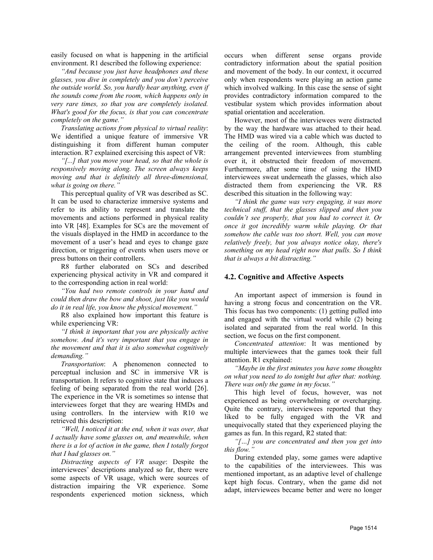easily focused on what is happening in the artificial environment. R1 described the following experience:

*"And because you just have headphones and these glasses, you dive in completely and you don't perceive the outside world. So, you hardly hear anything, even if the sounds come from the room, which happens only in very rare times, so that you are completely isolated. What's good for the focus, is that you can concentrate completely on the game."*

*Translating actions from physical to virtual reality*: We identified a unique feature of immersive VR distinguishing it from different human computer interaction. R7 explained exercising this aspect of VR:

*"[...] that you move your head, so that the whole is responsively moving along. The screen always keeps moving and that is definitely all three-dimensional, what is going on there."*

This perceptual quality of VR was described as SC. It can be used to characterize immersive systems and refer to its ability to represent and translate the movements and actions performed in physical reality into VR [48]. Examples for SCs are the movement of the visuals displayed in the HMD in accordance to the movement of a user's head and eyes to change gaze direction, or triggering of events when users move or press buttons on their controllers.

R8 further elaborated on SCs and described experiencing physical activity in VR and compared it to the corresponding action in real world:

*"You had two remote controls in your hand and could then draw the bow and shoot, just like you would do it in real life, you know the physical movement."* 

R8 also explained how important this feature is while experiencing VR:

*"I think it important that you are physically active somehow. And it's very important that you engage in the movement and that it is also somewhat cognitively demanding."*

*Transportation*: A phenomenon connected to perceptual inclusion and SC in immersive VR is transportation. It refers to cognitive state that induces a feeling of being separated from the real world [26]. The experience in the VR is sometimes so intense that interviewees forget that they are wearing HMDs and using controllers. In the interview with R10 we retrieved this description:

*"Well, I noticed it at the end, when it was over, that I actually have some glasses on, and meanwhile, when there is a lot of action in the game, then I totally forgot that I had glasses on."*

*Distracting aspects of VR usage*: Despite the interviewees' descriptions analyzed so far, there were some aspects of VR usage, which were sources of distraction impairing the VR experience. Some respondents experienced motion sickness, which

occurs when different sense organs provide contradictory information about the spatial position and movement of the body. In our context, it occurred only when respondents were playing an action game which involved walking. In this case the sense of sight provides contradictory information compared to the vestibular system which provides information about spatial orientation and acceleration.

However, most of the interviewees were distracted by the way the hardware was attached to their head. The HMD was wired via a cable which was ducted to the ceiling of the room. Although, this cable arrangement prevented interviewees from stumbling over it, it obstructed their freedom of movement. Furthermore, after some time of using the HMD interviewees sweat underneath the glasses, which also distracted them from experiencing the VR. R8 described this situation in the following way:

*"I think the game was very engaging, it was more technical stuff, that the glasses slipped and then you couldn't see properly, that you had to correct it. Or once it got incredibly warm while playing. Or that somehow the cable was too short. Well, you can move relatively freely, but you always notice okay, there's something on my head right now that pulls. So I think that is always a bit distracting."*

#### **4.2. Cognitive and Affective Aspects**

An important aspect of immersion is found in having a strong focus and concentration on the VR. This focus has two components: (1) getting pulled into and engaged with the virtual world while (2) being isolated and separated from the real world. In this section, we focus on the first component.

*Concentrated attention*: It was mentioned by multiple interviewees that the games took their full attention. R1 explained:

*"Maybe in the first minutes you have some thoughts on what you need to do tonight but after that: nothing. There was only the game in my focus."*

This high level of focus, however, was not experienced as being overwhelming or overcharging. Quite the contrary, interviewees reported that they liked to be fully engaged with the VR and unequivocally stated that they experienced playing the games as fun. In this regard, R2 stated that:

*"[…] you are concentrated and then you get into this flow."*

During extended play, some games were adaptive to the capabilities of the interviewees. This was mentioned important, as an adaptive level of challenge kept high focus. Contrary, when the game did not adapt, interviewees became better and were no longer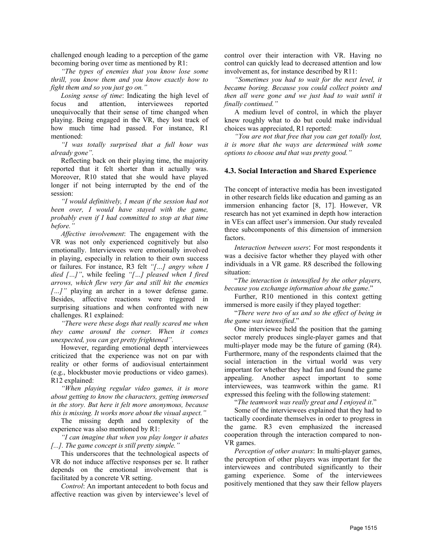challenged enough leading to a perception of the game becoming boring over time as mentioned by R1:

*"The types of enemies that you know lose some thrill, you know them and you know exactly how to fight them and so you just go on."*

*Losing sense of time*: Indicating the high level of focus and attention, interviewees reported unequivocally that their sense of time changed when playing. Being engaged in the VR, they lost track of how much time had passed. For instance, R1 mentioned:

*"I was totally surprised that a full hour was already gone".* 

Reflecting back on their playing time, the majority reported that it felt shorter than it actually was. Moreover, R10 stated that she would have played longer if not being interrupted by the end of the session:

*"I would definitively, I mean if the session had not been over, I would have stayed with the game, probably even if I had committed to stop at that time before."*

*Affective involvement*: The engagement with the VR was not only experienced cognitively but also emotionally. Interviewees were emotionally involved in playing, especially in relation to their own success or failures. For instance, R3 felt *"[…] angry when I died […]"*, while feeling *"[…] pleased when I fired arrows, which flew very far and still hit the enemies […]"* playing an archer in a tower defense game. Besides, affective reactions were triggered in surprising situations and when confronted with new challenges. R1 explained:

*"There were these dogs that really scared me when they came around the corner. When it comes unexpected, you can get pretty frightened".* 

However, regarding emotional depth interviewees criticized that the experience was not on par with reality or other forms of audiovisual entertainment (e.g., blockbuster movie productions or video games). R12 explained:

*"When playing regular video games, it is more about getting to know the characters, getting immersed in the story. But here it felt more anonymous, because this is missing. It works more about the visual aspect."*

The missing depth and complexity of the experience was also mentioned by R1:

*"I can imagine that when you play longer it abates [...]. The game concept is still pretty simple."*

This underscores that the technological aspects of VR do not induce affective responses per se. It rather depends on the emotional involvement that is facilitated by a concrete VR setting.

*Control*: An important antecedent to both focus and affective reaction was given by interviewee's level of control over their interaction with VR. Having no control can quickly lead to decreased attention and low involvement as, for instance described by R11:

*"Sometimes you had to wait for the next level, it became boring. Because you could collect points and then all were gone and we just had to wait until it finally continued."*

A medium level of control, in which the player knew roughly what to do but could make individual choices was appreciated, R1 reported:

*"You are not that free that you can get totally lost, it is more that the ways are determined with some options to choose and that was pretty good."*

#### **4.3. Social Interaction and Shared Experience**

The concept of interactive media has been investigated in other research fields like education and gaming as an immersion enhancing factor [8, 17]. However, VR research has not yet examined in depth how interaction in VEs can affect user's immersion. Our study revealed three subcomponents of this dimension of immersion factors.

*Interaction between users*: For most respondents it was a decisive factor whether they played with other individuals in a VR game. R8 described the following situation:

"*The interaction is intensified by the other players, because you exchange information about the game*."

Further, R10 mentioned in this context getting immersed is more easily if they played together:

"*There were two of us and so the effect of being in the game was intensified*."

One interviewee held the position that the gaming sector merely produces single-player games and that multi-player mode may be the future of gaming (R4). Furthermore, many of the respondents claimed that the social interaction in the virtual world was very important for whether they had fun and found the game appealing. Another aspect important to some interviewees, was teamwork within the game. R1 expressed this feeling with the following statement:

"*The teamwork was really great and I enjoyed it*."

Some of the interviewees explained that they had to tactically coordinate themselves in order to progress in the game. R3 even emphasized the increased cooperation through the interaction compared to non-VR games.

*Perception of other avatars*: In multi-player games, the perception of other players was important for the interviewees and contributed significantly to their gaming experience. Some of the interviewees positively mentioned that they saw their fellow players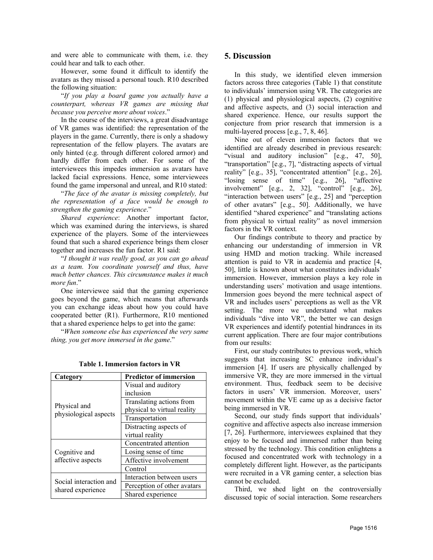and were able to communicate with them, i.e. they could hear and talk to each other.

However, some found it difficult to identify the avatars as they missed a personal touch. R10 described the following situation:

"*If you play a board game you actually have a counterpart, whereas VR games are missing that because you perceive more about voices*."

In the course of the interviews, a great disadvantage of VR games was identified: the representation of the players in the game. Currently, there is only a shadowy representation of the fellow players. The avatars are only hinted (e.g. through different colored armor) and hardly differ from each other. For some of the interviewees this impedes immersion as avatars have lacked facial expressions. Hence, some interviewees found the game impersonal and unreal, and R10 stated:

"*The face of the avatar is missing completely, but the representation of a face would be enough to strengthen the gaming experience*."

*Shared experience*: Another important factor, which was examined during the interviews, is shared experience of the players. Some of the interviewees found that such a shared experience brings them closer together and increases the fun factor. R1 said:

"*I thought it was really good, as you can go ahead as a team. You coordinate yourself and thus, have much better chances. This circumstance makes it much more fun*."

One interviewee said that the gaming experience goes beyond the game, which means that afterwards you can exchange ideas about how you could have cooperated better (R1). Furthermore, R10 mentioned that a shared experience helps to get into the game:

"*When someone else has experienced the very same thing, you get more immersed in the game*."

| Category                                    | <b>Predictor of immersion</b> |
|---------------------------------------------|-------------------------------|
| Physical and<br>physiological aspects       | Visual and auditory           |
|                                             | inclusion                     |
|                                             | Translating actions from      |
|                                             | physical to virtual reality   |
|                                             | Transportation                |
|                                             | Distracting aspects of        |
|                                             | virtual reality               |
| Cognitive and<br>affective aspects          | Concentrated attention        |
|                                             | Losing sense of time          |
|                                             | Affective involvement         |
|                                             | Control                       |
| Social interaction and<br>shared experience | Interaction between users     |
|                                             | Perception of other avatars   |
|                                             | Shared experience             |

**Table 1. Immersion factors in VR**

#### **5. Discussion**

In this study, we identified eleven immersion factors across three categories (Table 1) that constitute to individuals' immersion using VR. The categories are (1) physical and physiological aspects, (2) cognitive and affective aspects, and (3) social interaction and shared experience. Hence, our results support the conjecture from prior research that immersion is a multi-layered process [e.g., 7, 8, 46].

Nine out of eleven immersion factors that we identified are already described in previous research: "visual and auditory inclusion" [e.g., 47, 50], "transportation" [e.g., 7], "distracting aspects of virtual reality" [e.g., 35], "concentrated attention" [e.g., 26], "losing sense of time" [e.g., 26], "affective involvement" [e.g., 2, 32], "control" [e.g., 26], "interaction between users" [e.g., 25] and "perception of other avatars" [e.g., 50]. Additionally, we have identified "shared experience" and "translating actions from physical to virtual reality" as novel immersion factors in the VR context*.*

Our findings contribute to theory and practice by enhancing our understanding of immersion in VR using HMD and motion tracking. While increased attention is paid to VR in academia and practice [4, 50], little is known about what constitutes individuals' immersion. However, immersion plays a key role in understanding users' motivation and usage intentions. Immersion goes beyond the mere technical aspect of VR and includes users' perceptions as well as the VR setting. The more we understand what makes individuals "dive into VR", the better we can design VR experiences and identify potential hindrances in its current application. There are four major contributions from our results:

First, our study contributes to previous work, which suggests that increasing SC enhance individual's immersion [4]. If users are physically challenged by immersive VR, they are more immersed in the virtual environment. Thus, feedback seem to be decisive factors in users' VR immersion. Moreover, users' movement within the VE came up as a decisive factor being immersed in VR.

Second, our study finds support that individuals' cognitive and affective aspects also increase immersion [7, 26]. Furthermore, interviewees explained that they enjoy to be focused and immersed rather than being stressed by the technology. This condition enlightens a focused and concentrated work with technology in a completely different light. However, as the participants were recruited in a VR gaming center, a selection bias cannot be excluded.

Third, we shed light on the controversially discussed topic of social interaction. Some researchers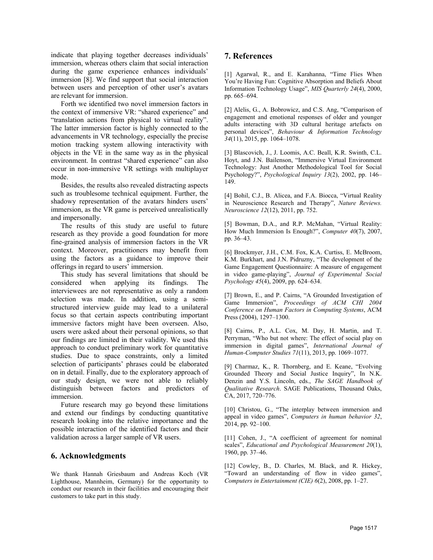indicate that playing together decreases individuals' immersion, whereas others claim that social interaction during the game experience enhances individuals' immersion [8]. We find support that social interaction between users and perception of other user's avatars are relevant for immersion.

Forth we identified two novel immersion factors in the context of immersive VR: "shared experience" and "translation actions from physical to virtual reality". The latter immersion factor is highly connected to the advancements in VR technology, especially the precise motion tracking system allowing interactivity with objects in the VE in the same way as in the physical environment. In contrast "shared experience" can also occur in non-immersive VR settings with multiplayer mode.

Besides, the results also revealed distracting aspects such as troublesome technical equipment. Further, the shadowy representation of the avatars hinders users' immersion, as the VR game is perceived unrealistically and impersonally.

The results of this study are useful to future research as they provide a good foundation for more fine-grained analysis of immersion factors in the VR context. Moreover, practitioners may benefit from using the factors as a guidance to improve their offerings in regard to users' immersion.

This study has several limitations that should be considered when applying its findings. The interviewees are not representative as only a random selection was made. In addition, using a semistructured interview guide may lead to a unilateral focus so that certain aspects contributing important immersive factors might have been overseen. Also, users were asked about their personal opinions, so that our findings are limited in their validity. We used this approach to conduct preliminary work for quantitative studies. Due to space constraints, only a limited selection of participants' phrases could be elaborated on in detail. Finally, due to the exploratory approach of our study design, we were not able to reliably distinguish between factors and predictors of immersion.

Future research may go beyond these limitations and extend our findings by conducting quantitative research looking into the relative importance and the possible interaction of the identified factors and their validation across a larger sample of VR users.

#### **6. Acknowledgments**

We thank Hannah Griesbaum and Andreas Koch (VR Lighthouse, Mannheim, Germany) for the opportunity to conduct our research in their facilities and encouraging their customers to take part in this study.

#### **7. References**

[1] Agarwal, R., and E. Karahanna, "Time Flies When You're Having Fun: Cognitive Absorption and Beliefs About Information Technology Usage", *MIS Quarterly 24*(4), 2000, pp. 665–694.

[2] Alelis, G., A. Bobrowicz, and C.S. Ang, "Comparison of engagement and emotional responses of older and younger adults interacting with 3D cultural heritage artefacts on personal devices", *Behaviour & Information Technology 34*(11), 2015, pp. 1064–1078.

[3] Blascovich, J., J. Loomis, A.C. Beall, K.R. Swinth, C.L. Hoyt, and J.N. Bailenson, "Immersive Virtual Environment Technology: Just Another Methodological Tool for Social Psychology?", *Psychological Inquiry 13*(2), 2002, pp. 146– 149.

[4] Bohil, C.J., B. Alicea, and F.A. Biocca, "Virtual Reality in Neuroscience Research and Therapy", *Nature Reviews. Neuroscience 12*(12), 2011, pp. 752.

[5] Bowman, D.A., and R.P. McMahan, "Virtual Reality: How Much Immersion Is Enough?", *Computer 40*(7), 2007, pp. 36–43.

[6] Brockmyer, J.H., C.M. Fox, K.A. Curtiss, E. McBroom, K.M. Burkhart, and J.N. Pidruzny, "The development of the Game Engagement Questionnaire: A measure of engagement in video game-playing", *Journal of Experimental Social Psychology 45*(4), 2009, pp. 624–634.

[7] Brown, E., and P. Cairns, "A Grounded Investigation of Game Immersion", *Proceedings of ACM CHI 2004 Conference on Human Factors in Computing Systems*, ACM Press (2004), 1297–1300.

[8] Cairns, P., A.L. Cox, M. Day, H. Martin, and T. Perryman, "Who but not where: The effect of social play on immersion in digital games", *International Journal of Human-Computer Studies 71*(11), 2013, pp. 1069–1077.

[9] Charmaz, K., R. Thornberg, and E. Keane, "Evolving Grounded Theory and Social Justice Inquiry", In N.K. Denzin and Y.S. Lincoln, eds., *The SAGE Handbook of Qualitative Research*. SAGE Publications, Thousand Oaks, CA, 2017, 720–776.

[10] Christou, G., "The interplay between immersion and appeal in video games", *Computers in human behavior 32*, 2014, pp. 92–100.

[11] Cohen, J., "A coefficient of agreement for nominal scales", *Educational and Psychological Measurement 20*(1), 1960, pp. 37–46.

[12] Cowley, B., D. Charles, M. Black, and R. Hickey, "Toward an understanding of flow in video games", *Computers in Entertainment (CIE) 6*(2), 2008, pp. 1–27.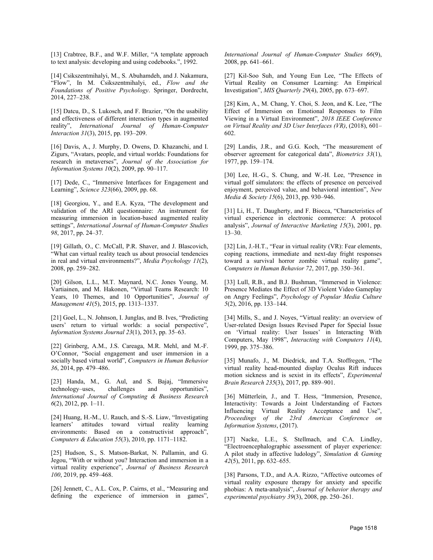[13] Crabtree, B.F., and W.F. Miller, "A template approach to text analysis: developing and using codebooks.", 1992.

[14] Csikszentmihalyi, M., S. Abuhamdeh, and J. Nakamura, "Flow", In M. Csikszentmihalyi, ed., *Flow and the Foundations of Positive Psychology*. Springer, Dordrecht, 2014, 227–238.

[15] Datcu, D., S. Lukosch, and F. Brazier, "On the usability and effectiveness of different interaction types in augmented reality", *International Journal of Human-Computer Interaction 31*(3), 2015, pp. 193–209.

[16] Davis, A., J. Murphy, D. Owens, D. Khazanchi, and I. Zigurs, "Avatars, people, and virtual worlds: Foundations for research in metaverses", *Journal of the Association for Information Systems 10*(2), 2009, pp. 90–117.

[17] Dede, C., "Immersive Interfaces for Engagement and Learning", *Science 323*(66), 2009, pp. 68.

[18] Georgiou, Y., and E.A. Kyza, "The development and validation of the ARI questionnaire: An instrument for measuring immersion in location-based augmented reality settings", *International Journal of Human-Computer Studies 98*, 2017, pp. 24–37.

[19] Gillath, O., C. McCall, P.R. Shaver, and J. Blascovich, "What can virtual reality teach us about prosocial tendencies in real and virtual environments?", *Media Psychology 11*(2), 2008, pp. 259–282.

[20] Gilson, L.L., M.T. Maynard, N.C. Jones Young, M. Vartiainen, and M. Hakonen, "Virtual Teams Research: 10 Years, 10 Themes, and 10 Opportunities", *Journal of Management 41*(5), 2015, pp. 1313–1337.

[21] Goel, L., N. Johnson, I. Junglas, and B. Ives, "Predicting users' return to virtual worlds: a social perspective", *Information Systems Journal 23*(1), 2013, pp. 35–63.

[22] Grinberg, A.M., J.S. Careaga, M.R. Mehl, and M.-F. O'Connor, "Social engagement and user immersion in a socially based virtual world", *Computers in Human Behavior 36*, 2014, pp. 479–486.

[23] Handa, M., G. Aul, and S. Bajaj, "Immersive technology–uses, *International Journal of Computing & Business Research 6*(2), 2012, pp. 1–11.

[24] Huang, H.-M., U. Rauch, and S.-S. Liaw, "Investigating learners' attitudes toward virtual reality learning environments: Based on a constructivist approach", *Computers & Education 55*(3), 2010, pp. 1171–1182.

[25] Hudson, S., S. Matson-Barkat, N. Pallamin, and G. Jegou, "With or without you? Interaction and immersion in a virtual reality experience", *Journal of Business Research 100*, 2019, pp. 459–468.

[26] Jennett, C., A.L. Cox, P. Cairns, et al., "Measuring and defining the experience of immersion in games", *International Journal of Human-Computer Studies 66*(9), 2008, pp. 641–661.

[27] Kil-Soo Suh, and Young Eun Lee, "The Effects of Virtual Reality on Consumer Learning: An Empirical Investigation", *MIS Quarterly 29*(4), 2005, pp. 673–697.

[28] Kim, A., M. Chang, Y. Choi, S. Jeon, and K. Lee, "The Effect of Immersion on Emotional Responses to Film Viewing in a Virtual Environment", *2018 IEEE Conference on Virtual Reality and 3D User Interfaces (VR)*, (2018), 601– 602.

[29] Landis, J.R., and G.G. Koch, "The measurement of observer agreement for categorical data", *Biometrics 33*(1), 1977, pp. 159–174.

[30] Lee, H.-G., S. Chung, and W.-H. Lee, "Presence in virtual golf simulators: the effects of presence on perceived enjoyment, perceived value, and behavioral intention", *New Media & Society 15*(6), 2013, pp. 930–946.

[31] Li, H., T. Daugherty, and F. Biocca, "Characteristics of virtual experience in electronic commerce: A protocol analysis", *Journal of Interactive Marketing 15*(3), 2001, pp. 13–30.

[32] Lin, J.-H.T., "Fear in virtual reality (VR): Fear elements, coping reactions, immediate and next-day fright responses toward a survival horror zombie virtual reality game", *Computers in Human Behavior 72*, 2017, pp. 350–361.

[33] Lull, R.B., and B.J. Bushman, "Immersed in Violence: Presence Mediates the Effect of 3D Violent Video Gameplay on Angry Feelings", *Psychology of Popular Media Culture 5*(2), 2016, pp. 133–144.

[34] Mills, S., and J. Noyes, "Virtual reality: an overview of User-related Design Issues Revised Paper for Special Issue on 'Virtual reality: User Issues' in Interacting With Computers, May 1998", *Interacting with Computers 11*(4), 1999, pp. 375–386.

[35] Munafo, J., M. Diedrick, and T.A. Stoffregen, "The virtual reality head-mounted display Oculus Rift induces motion sickness and is sexist in its effects", *Experimental Brain Research 235*(3), 2017, pp. 889–901.

[36] Mütterlein, J., and T. Hess, "Immersion, Presence, Interactivity: Towards a Joint Understanding of Factors Influencing Virtual Reality Acceptance and Use", *Proceedings of the 23rd Americas Conference on Information Systems*, (2017).

[37] Nacke, L.E., S. Stellmach, and C.A. Lindley, "Electroencephalographic assessment of player experience: A pilot study in affective ludology", *Simulation & Gaming 42*(5), 2011, pp. 632–655.

[38] Parsons, T.D., and A.A. Rizzo, "Affective outcomes of virtual reality exposure therapy for anxiety and specific phobias: A meta-analysis", *Journal of behavior therapy and experimental psychiatry 39*(3), 2008, pp. 250–261.